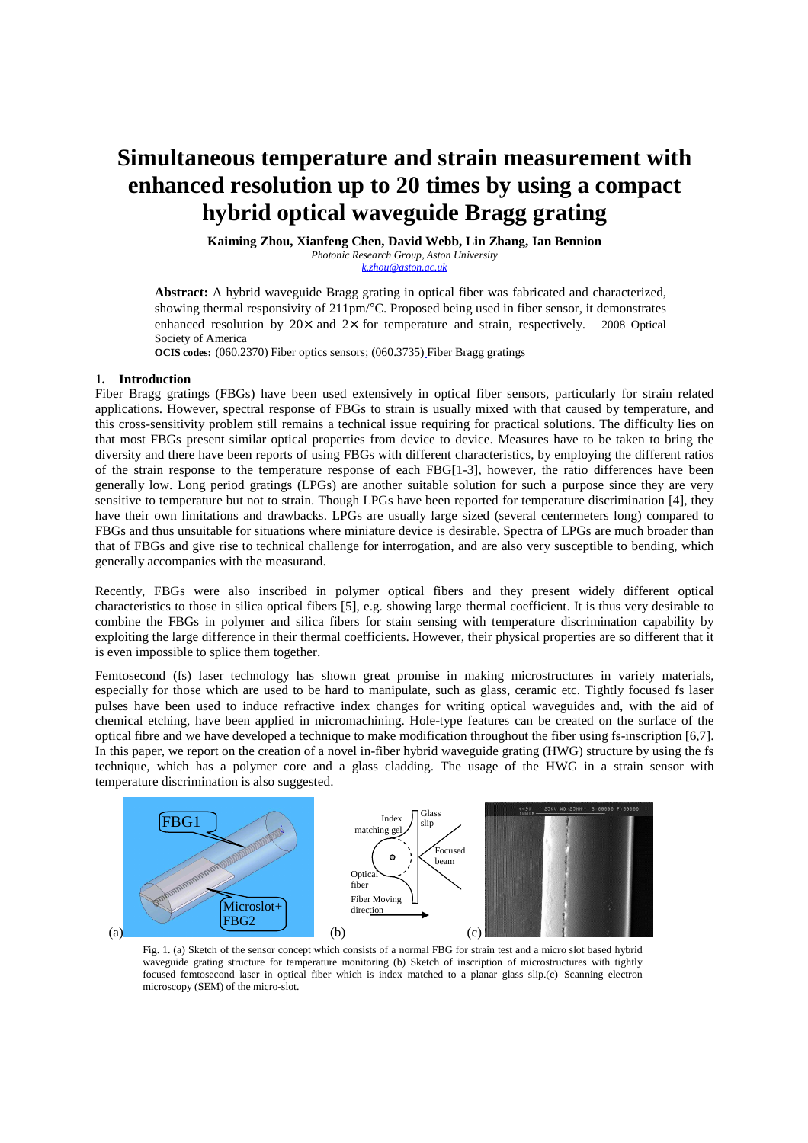# **Simultaneous temperature and strain measurement with enhanced resolution up to 20 times by using a compact hybrid optical waveguide Bragg grating**

**Kaiming Zhou, Xianfeng Chen, David Webb, Lin Zhang, Ian Bennion** 

*Photonic Research Group, Aston University k.zhou@aston.ac.uk*

**Abstract:** A hybrid waveguide Bragg grating in optical fiber was fabricated and characterized, showing thermal responsivity of 211pm/°C. Proposed being used in fiber sensor, it demonstrates enhanced resolution by  $20 \times$  and  $2 \times$  for temperature and strain, respectively. © 2008 Optical Society of America

**OCIS codes:** (060.2370) Fiber optics sensors; (060.3735) Fiber Bragg gratings

# **1. Introduction**

Fiber Bragg gratings (FBGs) have been used extensively in optical fiber sensors, particularly for strain related applications. However, spectral response of FBGs to strain is usually mixed with that caused by temperature, and this cross-sensitivity problem still remains a technical issue requiring for practical solutions. The difficulty lies on that most FBGs present similar optical properties from device to device. Measures have to be taken to bring the diversity and there have been reports of using FBGs with different characteristics, by employing the different ratios of the strain response to the temperature response of each FBG[1-3], however, the ratio differences have been generally low. Long period gratings (LPGs) are another suitable solution for such a purpose since they are very sensitive to temperature but not to strain. Though LPGs have been reported for temperature discrimination [4], they have their own limitations and drawbacks. LPGs are usually large sized (several centermeters long) compared to FBGs and thus unsuitable for situations where miniature device is desirable. Spectra of LPGs are much broader than that of FBGs and give rise to technical challenge for interrogation, and are also very susceptible to bending, which generally accompanies with the measurand.

Recently, FBGs were also inscribed in polymer optical fibers and they present widely different optical characteristics to those in silica optical fibers [5], e.g. showing large thermal coefficient. It is thus very desirable to combine the FBGs in polymer and silica fibers for stain sensing with temperature discrimination capability by exploiting the large difference in their thermal coefficients. However, their physical properties are so different that it is even impossible to splice them together.

Femtosecond (fs) laser technology has shown great promise in making microstructures in variety materials, especially for those which are used to be hard to manipulate, such as glass, ceramic etc. Tightly focused fs laser pulses have been used to induce refractive index changes for writing optical waveguides and, with the aid of chemical etching, have been applied in micromachining. Hole-type features can be created on the surface of the optical fibre and we have developed a technique to make modification throughout the fiber using fs-inscription [6,7]. In this paper, we report on the creation of a novel in-fiber hybrid waveguide grating (HWG) structure by using the fs technique, which has a polymer core and a glass cladding. The usage of the HWG in a strain sensor with temperature discrimination is also suggested.



Fig. 1. (a) Sketch of the sensor concept which consists of a normal FBG for strain test and a micro slot based hybrid waveguide grating structure for temperature monitoring (b) Sketch of inscription of microstructures with tightly focused femtosecond laser in optical fiber which is index matched to a planar glass slip.(c) Scanning electron microscopy (SEM) of the micro-slot.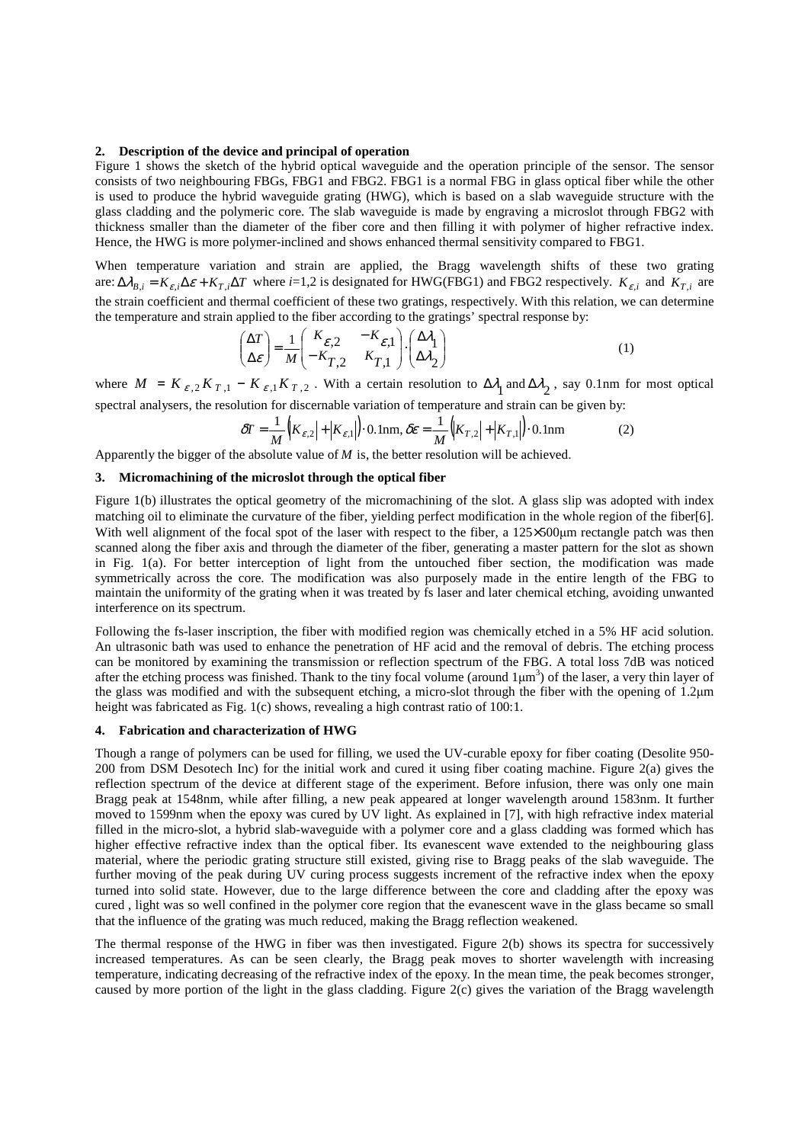## **2. Description of the device and principal of operation**

Figure 1 shows the sketch of the hybrid optical waveguide and the operation principle of the sensor. The sensor consists of two neighbouring FBGs, FBG1 and FBG2. FBG1 is a normal FBG in glass optical fiber while the other is used to produce the hybrid waveguide grating (HWG), which is based on a slab waveguide structure with the glass cladding and the polymeric core. The slab waveguide is made by engraving a microslot through FBG2 with thickness smaller than the diameter of the fiber core and then filling it with polymer of higher refractive index. Hence, the HWG is more polymer-inclined and shows enhanced thermal sensitivity compared to FBG1.

When temperature variation and strain are applied, the Bragg wavelength shifts of these two grating are:  $\Delta \lambda_{B,i} = K_{\varepsilon,i} \Delta \varepsilon + K_{T,i} \Delta T$  where *i*=1,2 is designated for HWG(FBG1) and FBG2 respectively.  $K_{\varepsilon,i}$  and  $K_{T,i}$  are the strain coefficient and thermal coefficient of these two gratings, respectively. With this relation, we can determine the temperature and strain applied to the fiber according to the gratings' spectral response by:

$$
\begin{pmatrix} \Delta T \\ \Delta \varepsilon \end{pmatrix} = \frac{1}{M} \begin{pmatrix} K_{\varepsilon,2} & -K_{\varepsilon,1} \\ -K_{T,2} & K_{T,1} \end{pmatrix} \cdot \begin{pmatrix} \Delta \lambda_1 \\ \Delta \lambda_2 \end{pmatrix}
$$
 (1)

where  $M = K_{\varepsilon,2} K_{T,1} - K_{\varepsilon,1} K_{T,2}$ . With a certain resolution to  $\Delta \lambda_1$  and  $\Delta \lambda_2$ , say 0.1nm for most optical spectral analysers, the resolution for discernable variation of temperature and strain can be given by:

$$
\delta T = \frac{1}{M} \left( |K_{\varepsilon,2}| + |K_{\varepsilon,1}| \right) \cdot 0.1 \text{nm}, \delta \varepsilon = \frac{1}{M} \left( |K_{T,2}| + |K_{T,1}| \right) \cdot 0.1 \text{nm}
$$
 (2)

Apparently the bigger of the absolute value of *M* is, the better resolution will be achieved.

# **3. Micromachining of the microslot through the optical fiber**

Figure 1(b) illustrates the optical geometry of the micromachining of the slot. A glass slip was adopted with index matching oil to eliminate the curvature of the fiber, yielding perfect modification in the whole region of the fiber[6]. With well alignment of the focal spot of the laser with respect to the fiber, a 125×500µm rectangle patch was then scanned along the fiber axis and through the diameter of the fiber, generating a master pattern for the slot as shown in Fig. 1(a). For better interception of light from the untouched fiber section, the modification was made symmetrically across the core. The modification was also purposely made in the entire length of the FBG to maintain the uniformity of the grating when it was treated by fs laser and later chemical etching, avoiding unwanted interference on its spectrum.

Following the fs-laser inscription, the fiber with modified region was chemically etched in a 5% HF acid solution. An ultrasonic bath was used to enhance the penetration of HF acid and the removal of debris. The etching process can be monitored by examining the transmission or reflection spectrum of the FBG. A total loss 7dB was noticed after the etching process was finished. Thank to the tiny focal volume (around  $1\mu m^3$ ) of the laser, a very thin layer of the glass was modified and with the subsequent etching, a micro-slot through the fiber with the opening of 1.2µm height was fabricated as Fig. 1(c) shows, revealing a high contrast ratio of 100:1.

### **4. Fabrication and characterization of HWG**

Though a range of polymers can be used for filling, we used the UV-curable epoxy for fiber coating (Desolite 950- 200 from DSM Desotech Inc) for the initial work and cured it using fiber coating machine. Figure 2(a) gives the reflection spectrum of the device at different stage of the experiment. Before infusion, there was only one main Bragg peak at 1548nm, while after filling, a new peak appeared at longer wavelength around 1583nm. It further moved to 1599nm when the epoxy was cured by UV light. As explained in [7], with high refractive index material filled in the micro-slot, a hybrid slab-waveguide with a polymer core and a glass cladding was formed which has higher effective refractive index than the optical fiber. Its evanescent wave extended to the neighbouring glass material, where the periodic grating structure still existed, giving rise to Bragg peaks of the slab waveguide. The further moving of the peak during UV curing process suggests increment of the refractive index when the epoxy turned into solid state. However, due to the large difference between the core and cladding after the epoxy was cured , light was so well confined in the polymer core region that the evanescent wave in the glass became so small that the influence of the grating was much reduced, making the Bragg reflection weakened.

The thermal response of the HWG in fiber was then investigated. Figure 2(b) shows its spectra for successively increased temperatures. As can be seen clearly, the Bragg peak moves to shorter wavelength with increasing temperature, indicating decreasing of the refractive index of the epoxy. In the mean time, the peak becomes stronger, caused by more portion of the light in the glass cladding. Figure 2(c) gives the variation of the Bragg wavelength